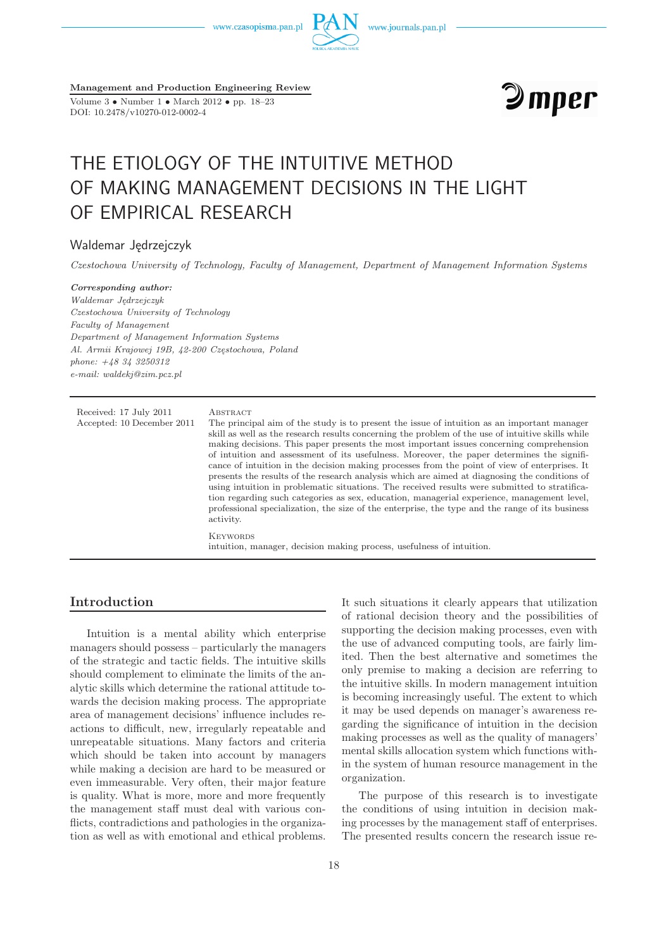www.czasopisma.pan.pl



**Management and Production Engineering Review**

Volume 3 • Number 1 • March 2012 • pp. 18–23 DOI: 10.2478/v10270-012-0002-4



# THE ETIOLOGY OF THE INTUITIVE METHOD OF MAKING MANAGEMENT DECISIONS IN THE LIGHT OF EMPIRICAL RESEARCH

Waldemar Jędrzejczyk

*Czestochowa University of Technology, Faculty of Management, Department of Management Information Systems*

*Corresponding author:*

*Waldemar Jędrzejczyk Czestochowa University of Technology Faculty of Management Department of Management Information Systems Al. Armii Krajowej 19B, 42-200 Częstochowa, Poland phone: +48 34 3250312 e-mail: waldekj@zim.pcz.pl*

Received: 17 July 2011 ABSTRACT<br>Accepted: 10 December 2011 The princi

The principal aim of the study is to present the issue of intuition as an important manager skill as well as the research results concerning the problem of the use of intuitive skills while making decisions. This paper presents the most important issues concerning comprehension of intuition and assessment of its usefulness. Moreover, the paper determines the significance of intuition in the decision making processes from the point of view of enterprises. It presents the results of the research analysis which are aimed at diagnosing the conditions of using intuition in problematic situations. The received results were submitted to stratification regarding such categories as sex, education, managerial experience, management level, professional specialization, the size of the enterprise, the type and the range of its business activity.

**KEYWORDS** intuition, manager, decision making process, usefulness of intuition.

## **Introduction**

Intuition is a mental ability which enterprise managers should possess – particularly the managers of the strategic and tactic fields. The intuitive skills should complement to eliminate the limits of the analytic skills which determine the rational attitude towards the decision making process. The appropriate area of management decisions' influence includes reactions to difficult, new, irregularly repeatable and unrepeatable situations. Many factors and criteria which should be taken into account by managers while making a decision are hard to be measured or even immeasurable. Very often, their major feature is quality. What is more, more and more frequently the management staff must deal with various conflicts, contradictions and pathologies in the organization as well as with emotional and ethical problems.

It such situations it clearly appears that utilization of rational decision theory and the possibilities of supporting the decision making processes, even with the use of advanced computing tools, are fairly limited. Then the best alternative and sometimes the only premise to making a decision are referring to the intuitive skills. In modern management intuition is becoming increasingly useful. The extent to which it may be used depends on manager's awareness regarding the significance of intuition in the decision making processes as well as the quality of managers' mental skills allocation system which functions within the system of human resource management in the organization.

The purpose of this research is to investigate the conditions of using intuition in decision making processes by the management staff of enterprises. The presented results concern the research issue re-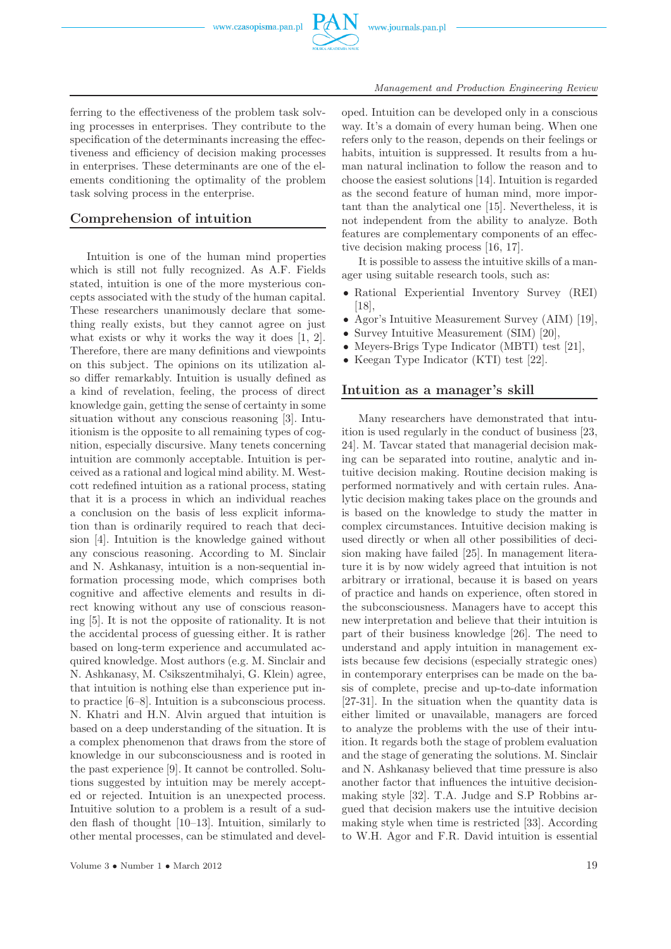

#### *Management and Production Engineering Review*

ferring to the effectiveness of the problem task solving processes in enterprises. They contribute to the specification of the determinants increasing the effectiveness and efficiency of decision making processes in enterprises. These determinants are one of the elements conditioning the optimality of the problem task solving process in the enterprise.

## **Comprehension of intuition**

Intuition is one of the human mind properties which is still not fully recognized. As A.F. Fields stated, intuition is one of the more mysterious concepts associated with the study of the human capital. These researchers unanimously declare that something really exists, but they cannot agree on just what exists or why it works the way it does [1, 2]. Therefore, there are many definitions and viewpoints on this subject. The opinions on its utilization also differ remarkably. Intuition is usually defined as a kind of revelation, feeling, the process of direct knowledge gain, getting the sense of certainty in some situation without any conscious reasoning [3]. Intuitionism is the opposite to all remaining types of cognition, especially discursive. Many tenets concerning intuition are commonly acceptable. Intuition is perceived as a rational and logical mind ability. M. Westcott redefined intuition as a rational process, stating that it is a process in which an individual reaches a conclusion on the basis of less explicit information than is ordinarily required to reach that decision [4]. Intuition is the knowledge gained without any conscious reasoning. According to M. Sinclair and N. Ashkanasy, intuition is a non-sequential information processing mode, which comprises both cognitive and affective elements and results in direct knowing without any use of conscious reasoning [5]. It is not the opposite of rationality. It is not the accidental process of guessing either. It is rather based on long-term experience and accumulated acquired knowledge. Most authors (e.g. M. Sinclair and N. Ashkanasy, M. Csikszentmihalyi, G. Klein) agree, that intuition is nothing else than experience put into practice [6–8]. Intuition is a subconscious process. N. Khatri and H.N. Alvin argued that intuition is based on a deep understanding of the situation. It is a complex phenomenon that draws from the store of knowledge in our subconsciousness and is rooted in the past experience [9]. It cannot be controlled. Solutions suggested by intuition may be merely accepted or rejected. Intuition is an unexpected process. Intuitive solution to a problem is a result of a sudden flash of thought [10–13]. Intuition, similarly to other mental processes, can be stimulated and developed. Intuition can be developed only in a conscious way. It's a domain of every human being. When one refers only to the reason, depends on their feelings or habits, intuition is suppressed. It results from a human natural inclination to follow the reason and to choose the easiest solutions [14]. Intuition is regarded as the second feature of human mind, more important than the analytical one [15]. Nevertheless, it is not independent from the ability to analyze. Both features are complementary components of an effective decision making process [16, 17].

It is possible to assess the intuitive skills of a manager using suitable research tools, such as:

- Rational Experiential Inventory Survey (REI) [18].
- Agor's Intuitive Measurement Survey (AIM) [19],
- Survey Intuitive Measurement (SIM) [20],
- Meyers-Brigs Type Indicator (MBTI) test [21],
- Keegan Type Indicator (KTI) test [22].

#### **Intuition as a manager's skill**

Many researchers have demonstrated that intuition is used regularly in the conduct of business [23, 24]. M. Tavcar stated that managerial decision making can be separated into routine, analytic and intuitive decision making. Routine decision making is performed normatively and with certain rules. Analytic decision making takes place on the grounds and is based on the knowledge to study the matter in complex circumstances. Intuitive decision making is used directly or when all other possibilities of decision making have failed [25]. In management literature it is by now widely agreed that intuition is not arbitrary or irrational, because it is based on years of practice and hands on experience, often stored in the subconsciousness. Managers have to accept this new interpretation and believe that their intuition is part of their business knowledge [26]. The need to understand and apply intuition in management exists because few decisions (especially strategic ones) in contemporary enterprises can be made on the basis of complete, precise and up-to-date information [27-31]. In the situation when the quantity data is either limited or unavailable, managers are forced to analyze the problems with the use of their intuition. It regards both the stage of problem evaluation and the stage of generating the solutions. M. Sinclair and N. Ashkanasy believed that time pressure is also another factor that influences the intuitive decisionmaking style [32]. T.A. Judge and S.P Robbins argued that decision makers use the intuitive decision making style when time is restricted [33]. According to W.H. Agor and F.R. David intuition is essential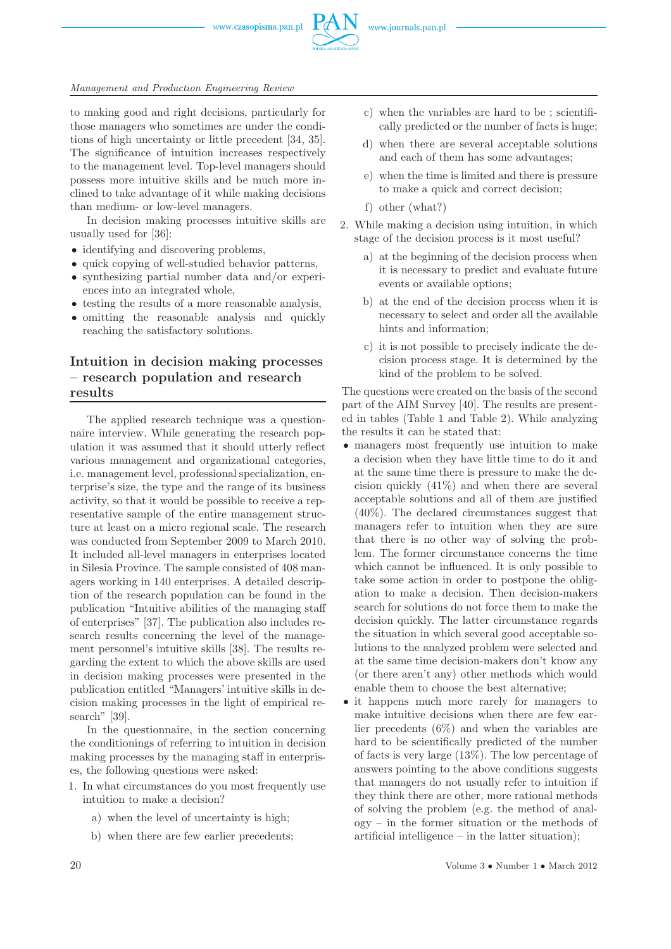#### *Management and Production Engineering Review*

to making good and right decisions, particularly for those managers who sometimes are under the conditions of high uncertainty or little precedent [34, 35]. The significance of intuition increases respectively to the management level. Top-level managers should possess more intuitive skills and be much more inclined to take advantage of it while making decisions than medium- or low-level managers.

In decision making processes intuitive skills are usually used for [36]:

- identifying and discovering problems,
- quick copying of well-studied behavior patterns,
- synthesizing partial number data and/or experiences into an integrated whole,
- testing the results of a more reasonable analysis,
- omitting the reasonable analysis and quickly reaching the satisfactory solutions.

# **Intuition in decision making processes – research population and research results**

The applied research technique was a questionnaire interview. While generating the research population it was assumed that it should utterly reflect various management and organizational categories, i.e. management level, professional specialization, enterprise's size, the type and the range of its business activity, so that it would be possible to receive a representative sample of the entire management structure at least on a micro regional scale. The research was conducted from September 2009 to March 2010. It included all-level managers in enterprises located in Silesia Province. The sample consisted of 408 managers working in 140 enterprises. A detailed description of the research population can be found in the publication "Intuitive abilities of the managing staff of enterprises" [37]. The publication also includes research results concerning the level of the management personnel's intuitive skills [38]. The results regarding the extent to which the above skills are used in decision making processes were presented in the publication entitled "Managers' intuitive skills in decision making processes in the light of empirical research" [39].

In the questionnaire, in the section concerning the conditionings of referring to intuition in decision making processes by the managing staff in enterprises, the following questions were asked:

- 1. In what circumstances do you most frequently use intuition to make a decision?
	- a) when the level of uncertainty is high;
	- b) when there are few earlier precedents;
- c) when the variables are hard to be ; scientifically predicted or the number of facts is huge;
- d) when there are several acceptable solutions and each of them has some advantages;
- e) when the time is limited and there is pressure to make a quick and correct decision;
- f) other (what?)
- 2. While making a decision using intuition, in which stage of the decision process is it most useful?
	- a) at the beginning of the decision process when it is necessary to predict and evaluate future events or available options;
	- b) at the end of the decision process when it is necessary to select and order all the available hints and information;
	- c) it is not possible to precisely indicate the decision process stage. It is determined by the kind of the problem to be solved.

The questions were created on the basis of the second part of the AIM Survey [40]. The results are presented in tables (Table 1 and Table 2). While analyzing the results it can be stated that:

- managers most frequently use intuition to make a decision when they have little time to do it and at the same time there is pressure to make the decision quickly (41%) and when there are several acceptable solutions and all of them are justified (40%). The declared circumstances suggest that managers refer to intuition when they are sure that there is no other way of solving the problem. The former circumstance concerns the time which cannot be influenced. It is only possible to take some action in order to postpone the obligation to make a decision. Then decision-makers search for solutions do not force them to make the decision quickly. The latter circumstance regards the situation in which several good acceptable solutions to the analyzed problem were selected and at the same time decision-makers don't know any (or there aren't any) other methods which would enable them to choose the best alternative;
- it happens much more rarely for managers to make intuitive decisions when there are few earlier precedents (6%) and when the variables are hard to be scientifically predicted of the number of facts is very large (13%). The low percentage of answers pointing to the above conditions suggests that managers do not usually refer to intuition if they think there are other, more rational methods of solving the problem (e.g. the method of analogy – in the former situation or the methods of artificial intelligence – in the latter situation);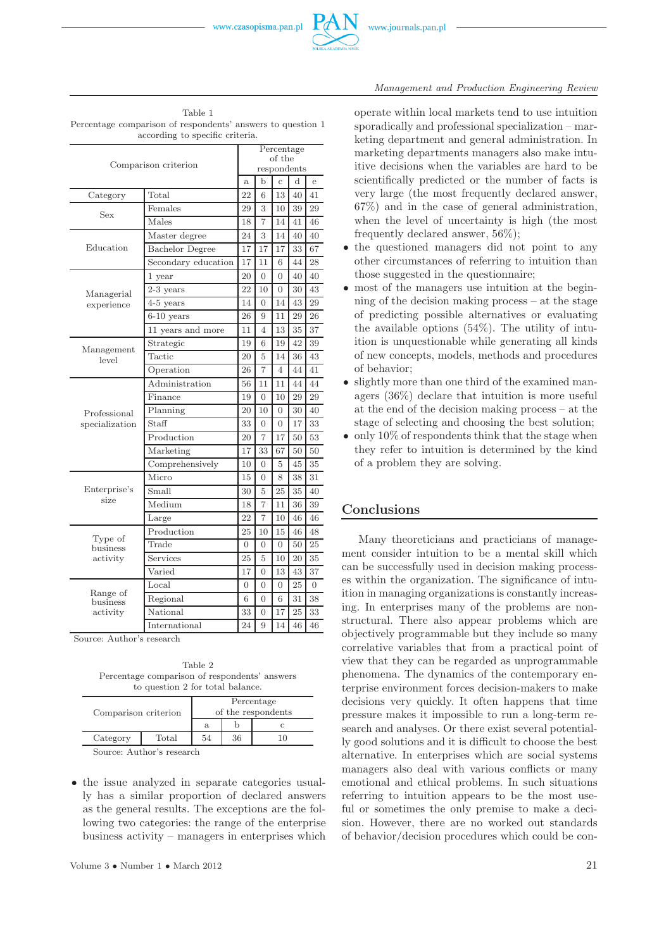



| Table 1                                                     |  |  |  |  |  |  |  |
|-------------------------------------------------------------|--|--|--|--|--|--|--|
| Percentage comparison of respondents' answers to question 1 |  |  |  |  |  |  |  |
| according to specific criteria.                             |  |  |  |  |  |  |  |

| Comparison criterion |                        |                | Percentage<br>of the |                |            |                |  |  |
|----------------------|------------------------|----------------|----------------------|----------------|------------|----------------|--|--|
|                      |                        |                | respondents          |                |            |                |  |  |
|                      |                        | a              | b                    | $\ddot{c}$     | $_{\rm d}$ | e              |  |  |
| Category             | Total                  | 22             | 6                    | 13             | 40         | 41             |  |  |
| Sex                  | Females                | 29             | 3                    | 10             | 39         | 29             |  |  |
|                      | Males                  | 18             | 7                    | 14             | 41         | 46             |  |  |
|                      | Master degree          | 24             | 3                    | 14             | 40         | 40             |  |  |
| Education            | <b>Bachelor</b> Degree | 17             | 17                   | 17             | 33         | 67             |  |  |
|                      | Secondary education    | 17             | 11                   | 6              | 44         | 28             |  |  |
|                      | 1 year                 | 20             | $\Omega$             | $\Omega$       | 40         | 40             |  |  |
| Managerial           | $2-3$ years            | 22             | 10                   | $\overline{0}$ | 30         | 43             |  |  |
| experience           | $4-5$ years            | 14             | $\Omega$             | 14             | 43         | 29             |  |  |
|                      | $6-10$ years           | 26             | 9                    | 11             | 29         | 26             |  |  |
|                      | 11 years and more      | 11             | 4                    | 13             | 35         | 37             |  |  |
|                      | Strategic              | 19             | 6                    | 19             | 42         | 39             |  |  |
| Management<br>level  | Tactic                 | 20             | 5                    | 14             | 36         | 43             |  |  |
|                      | Operation              | 26             | $\overline{7}$       | $\overline{4}$ | 44         | 41             |  |  |
|                      | Administration         | 56             | 11                   | 11             | 44         | 44             |  |  |
|                      | Finance                | 19             | $\Omega$             | 10             | 29         | 29             |  |  |
| Professional         | Planning               | 20             | 10                   | $\overline{0}$ | 30         | 40             |  |  |
| specialization       | Staff                  | 33             | $\Omega$             | $\Omega$       | 17         | 33             |  |  |
|                      | Production             | 20             | 7                    | 17             | 50         | 53             |  |  |
|                      | Marketing              | 17             | 33                   | 67             | 50         | 50             |  |  |
|                      | Comprehensively        | 10             | $\Omega$             | 5              | 45         | 35             |  |  |
|                      | Micro                  | 15             | $\overline{0}$       | 8              | 38         | 31             |  |  |
| Enterprise's<br>size | Small                  | 30             | 5                    | 25             | 35         | 40             |  |  |
|                      | Medium                 | 18             | 7                    | 11             | 36         | 39             |  |  |
|                      | Large                  | 22             | 7                    | 10             | 46         | 46             |  |  |
|                      | Production             | 25             | 10                   | 15             | 46         | 48             |  |  |
| Type of<br>business  | Trade                  | $\Omega$       | $\overline{0}$       | $\Omega$       | 50         | 25             |  |  |
| activity             | Services               | 25             | 5                    | 10             | 20         | 35             |  |  |
|                      | Varied                 | 17             | $\boldsymbol{0}$     | 13             | 43         | 37             |  |  |
|                      | Local                  | $\overline{0}$ | $\overline{0}$       | $\overline{0}$ | 25         | $\overline{0}$ |  |  |
| Range of<br>business | Regional               | 6              | $\overline{0}$       | 6              | 31         | 38             |  |  |
| activity             | National               | 33             | 0                    | 17             | 25         | 33             |  |  |
|                      | International          | 24             | 9                    | 14             | 46         | 46             |  |  |

Source: Author's research

Table 2 Percentage comparison of respondents' answers to question 2 for total balance.

| $\sim$ quobles $\equiv$ iof to the building |                    |    |    |    |  |  |  |  |
|---------------------------------------------|--------------------|----|----|----|--|--|--|--|
|                                             | Percentage         |    |    |    |  |  |  |  |
| Comparison criterion                        | of the respondents |    |    |    |  |  |  |  |
|                                             |                    | a  |    |    |  |  |  |  |
| Category                                    | Total              | 54 | 36 | 10 |  |  |  |  |
| Cannas, Anthan's neasanah                   |                    |    |    |    |  |  |  |  |

Source: Author's research

• the issue analyzed in separate categories usually has a similar proportion of declared answers as the general results. The exceptions are the following two categories: the range of the enterprise business activity – managers in enterprises which

operate within local markets tend to use intuition sporadically and professional specialization – marketing department and general administration. In marketing departments managers also make intuitive decisions when the variables are hard to be scientifically predicted or the number of facts is very large (the most frequently declared answer, 67%) and in the case of general administration, when the level of uncertainty is high (the most frequently declared answer, 56%);

- the questioned managers did not point to any other circumstances of referring to intuition than those suggested in the questionnaire;
- most of the managers use intuition at the beginning of the decision making process – at the stage of predicting possible alternatives or evaluating the available options  $(54\%)$ . The utility of intuition is unquestionable while generating all kinds of new concepts, models, methods and procedures of behavior;
- slightly more than one third of the examined managers (36%) declare that intuition is more useful at the end of the decision making process – at the stage of selecting and choosing the best solution;
- only  $10\%$  of respondents think that the stage when they refer to intuition is determined by the kind of a problem they are solving.

## **Conclusions**

Many theoreticians and practicians of management consider intuition to be a mental skill which can be successfully used in decision making processes within the organization. The significance of intuition in managing organizations is constantly increasing. In enterprises many of the problems are nonstructural. There also appear problems which are objectively programmable but they include so many correlative variables that from a practical point of view that they can be regarded as unprogrammable phenomena. The dynamics of the contemporary enterprise environment forces decision-makers to make decisions very quickly. It often happens that time pressure makes it impossible to run a long-term research and analyses. Or there exist several potentially good solutions and it is difficult to choose the best alternative. In enterprises which are social systems managers also deal with various conflicts or many emotional and ethical problems. In such situations referring to intuition appears to be the most useful or sometimes the only premise to make a decision. However, there are no worked out standards of behavior/decision procedures which could be con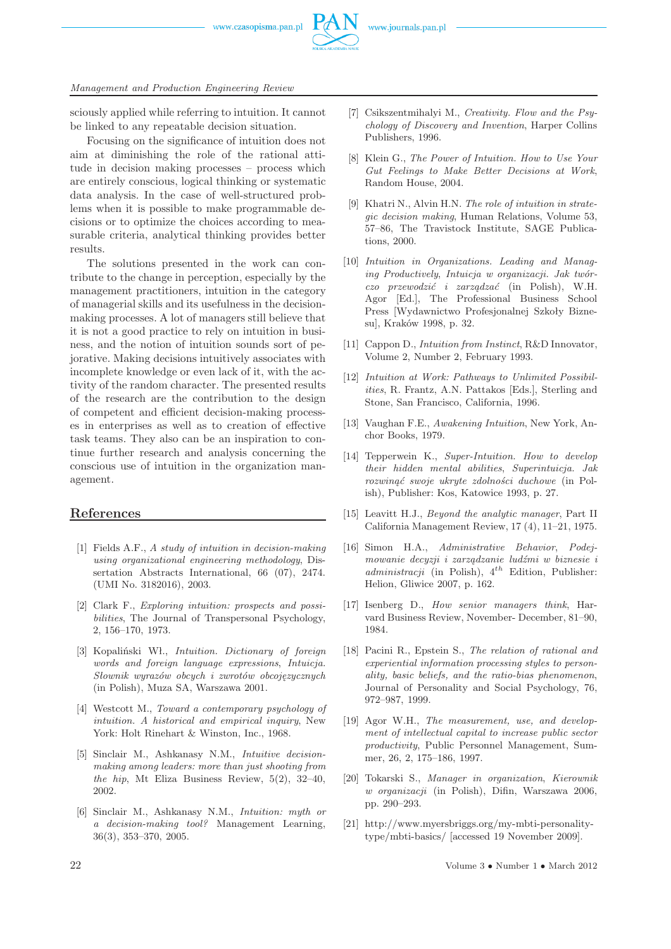www.czasopisma.pan.pl

#### *Management and Production Engineering Review*

sciously applied while referring to intuition. It cannot be linked to any repeatable decision situation.

Focusing on the significance of intuition does not aim at diminishing the role of the rational attitude in decision making processes – process which are entirely conscious, logical thinking or systematic data analysis. In the case of well-structured problems when it is possible to make programmable decisions or to optimize the choices according to measurable criteria, analytical thinking provides better results.

The solutions presented in the work can contribute to the change in perception, especially by the management practitioners, intuition in the category of managerial skills and its usefulness in the decisionmaking processes. A lot of managers still believe that it is not a good practice to rely on intuition in business, and the notion of intuition sounds sort of pejorative. Making decisions intuitively associates with incomplete knowledge or even lack of it, with the activity of the random character. The presented results of the research are the contribution to the design of competent and efficient decision-making processes in enterprises as well as to creation of effective task teams. They also can be an inspiration to continue further research and analysis concerning the conscious use of intuition in the organization management.

## **References**

- [1] Fields A.F., *A study of intuition in decision-making using organizational engineering methodology*, Dissertation Abstracts International, 66 (07), 2474. (UMI No. 3182016), 2003.
- [2] Clark F., *Exploring intuition: prospects and possibilities*, The Journal of Transpersonal Psychology, 2, 156–170, 1973.
- [3] Kopaliński Wł., *Intuition. Dictionary of foreign words and foreign language expressions*, *Intuicja. Słownik wyrazów obcych i zwrotów obcojęzycznych* (in Polish), Muza SA, Warszawa 2001.
- [4] Westcott M., *Toward a contemporary psychology of intuition. A historical and empirical inquiry*, New York: Holt Rinehart & Winston, Inc., 1968.
- [5] Sinclair M., Ashkanasy N.M., *Intuitive decisionmaking among leaders: more than just shooting from the hip*, Mt Eliza Business Review, 5(2), 32–40, 2002.
- [6] Sinclair M., Ashkanasy N.M., *Intuition: myth or a decision-making tool?* Management Learning, 36(3), 353–370, 2005.
- [7] Csikszentmihalyi M., *Creativity. Flow and the Psychology of Discovery and Invention*, Harper Collins Publishers, 1996.
- [8] Klein G., *The Power of Intuition. How to Use Your Gut Feelings to Make Better Decisions at Work*, Random House, 2004.
- [9] Khatri N., Alvin H.N. *The role of intuition in strategic decision making*, Human Relations, Volume 53, 57–86, The Travistock Institute, SAGE Publications, 2000.
- [10] *Intuition in Organizations. Leading and Managing Productively*, *Intuicja w organizacji. Jak twórczo przewodzić i zarządzać* (in Polish), W.H. Agor [Ed.], The Professional Business School Press [Wydawnictwo Profesjonalnej Szkoły Biznesu], Kraków 1998, p. 32.
- [11] Cappon D., *Intuition from Instinct*, R&D Innovator, Volume 2, Number 2, February 1993.
- [12] *Intuition at Work: Pathways to Unlimited Possibilities*, R. Frantz, A.N. Pattakos [Eds.], Sterling and Stone, San Francisco, California, 1996.
- [13] Vaughan F.E., *Awakening Intuition*, New York, Anchor Books, 1979.
- [14] Tepperwein K., *Super-Intuition. How to develop their hidden mental abilities*, *Superintuicja. Jak rozwinąć swoje ukryte zdolności duchowe* (in Polish), Publisher: Kos, Katowice 1993, p. 27.
- [15] Leavitt H.J., *Beyond the analytic manager*, Part II California Management Review, 17 (4), 11–21, 1975.
- [16] Simon H.A., *Administrative Behavior*, *Podejmowanie decyzji i zarządzanie ludźmi w biznesie i*  $administracji$  (in Polish),  $4^{th}$  Edition, Publisher: Helion, Gliwice 2007, p. 162.
- [17] Isenberg D., *How senior managers think*, Harvard Business Review, November- December, 81–90, 1984.
- [18] Pacini R., Epstein S., *The relation of rational and experiential information processing styles to personality, basic beliefs, and the ratio-bias phenomenon*, Journal of Personality and Social Psychology, 76, 972–987, 1999.
- [19] Agor W.H., *The measurement, use, and development of intellectual capital to increase public sector productivity*, Public Personnel Management, Summer, 26, 2, 175–186, 1997.
- [20] Tokarski S., *Manager in organization*, *Kierownik w organizacji* (in Polish), Difin, Warszawa 2006, pp. 290–293.
- [21] http://www.myersbriggs.org/my-mbti-personalitytype/mbti-basics/ [accessed 19 November 2009].